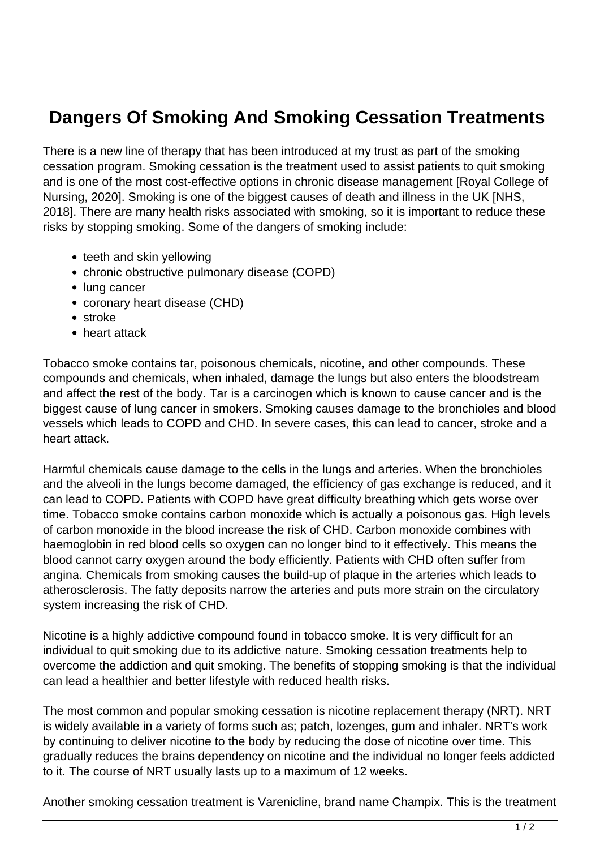## **Dangers Of Smoking And Smoking Cessation Treatments**

There is a new line of therapy that has been introduced at my trust as part of the smoking cessation program. Smoking cessation is the treatment used to assist patients to quit smoking and is one of the most cost-effective options in chronic disease management [Royal College of Nursing, 2020]. Smoking is one of the biggest causes of death and illness in the UK [NHS, 2018]. There are many health risks associated with smoking, so it is important to reduce these risks by stopping smoking. Some of the dangers of smoking include:

- teeth and skin yellowing
- chronic obstructive pulmonary disease (COPD)
- lung cancer
- coronary heart disease (CHD)
- stroke
- heart attack

Tobacco smoke contains tar, poisonous chemicals, nicotine, and other compounds. These compounds and chemicals, when inhaled, damage the lungs but also enters the bloodstream and affect the rest of the body. Tar is a carcinogen which is known to cause cancer and is the biggest cause of lung cancer in smokers. Smoking causes damage to the bronchioles and blood vessels which leads to COPD and CHD. In severe cases, this can lead to cancer, stroke and a heart attack.

Harmful chemicals cause damage to the cells in the lungs and arteries. When the bronchioles and the alveoli in the lungs become damaged, the efficiency of gas exchange is reduced, and it can lead to COPD. Patients with COPD have great difficulty breathing which gets worse over time. Tobacco smoke contains carbon monoxide which is actually a poisonous gas. High levels of carbon monoxide in the blood increase the risk of CHD. Carbon monoxide combines with haemoglobin in red blood cells so oxygen can no longer bind to it effectively. This means the blood cannot carry oxygen around the body efficiently. Patients with CHD often suffer from angina. Chemicals from smoking causes the build-up of plaque in the arteries which leads to atherosclerosis. The fatty deposits narrow the arteries and puts more strain on the circulatory system increasing the risk of CHD.

Nicotine is a highly addictive compound found in tobacco smoke. It is very difficult for an individual to quit smoking due to its addictive nature. Smoking cessation treatments help to overcome the addiction and quit smoking. The benefits of stopping smoking is that the individual can lead a healthier and better lifestyle with reduced health risks.

The most common and popular smoking cessation is nicotine replacement therapy (NRT). NRT is widely available in a variety of forms such as; patch, lozenges, gum and inhaler. NRT's work by continuing to deliver nicotine to the body by reducing the dose of nicotine over time. This gradually reduces the brains dependency on nicotine and the individual no longer feels addicted to it. The course of NRT usually lasts up to a maximum of 12 weeks.

Another smoking cessation treatment is Varenicline, brand name Champix. This is the treatment